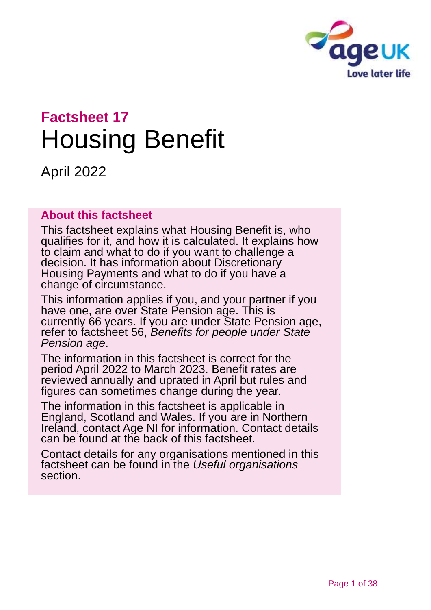

# **Factsheet 17** Housing Benefit

April 2022

#### **About this factsheet**

This factsheet explains what Housing Benefit is, who qualifies for it, and how it is calculated. It explains how to claim and what to do if you want to challenge a decision. It has information about Discretionary Housing Payments and what to do if you have a change of circumstance.

This information applies if you, and your partner if you have one, are over State Pension age. This is currently 66 years. If you are under State Pension age, refer to factsheet 56, *[Benefits for people under State](https://www.ageuk.org.uk/globalassets/age-uk/documents/factsheets/fs56-benefits-for-people-under-state-pension-age.pdf)  [Pension age](https://www.ageuk.org.uk/globalassets/age-uk/documents/factsheets/fs56-benefits-for-people-under-state-pension-age.pdf)*.

The information in this factsheet is correct for the period April 2022 to March 2023. Benefit rates are reviewed annually and uprated in April but rules and figures can sometimes change during the year.

The information in this factsheet is applicable in England, Scotland and Wales. If you are in Northern Ireland, contact [Age NI](#page-36-0) for information. Contact details can be found at the back of this factsheet.

Contact details for any organisations mentioned in this factsheet can be found in the *[Useful organisations](#page-34-0)* section.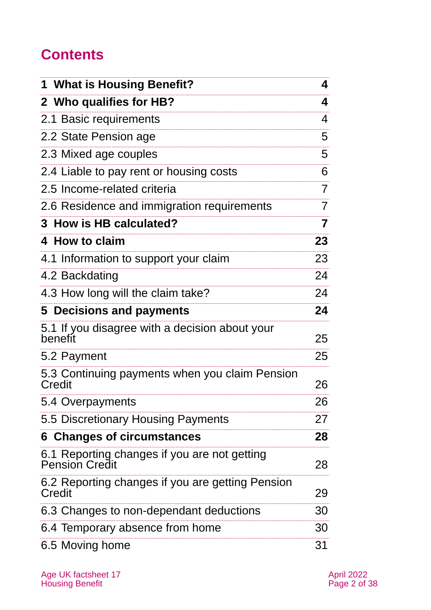# **Contents**

| 1 What is Housing Benefit?                                            | 4  |
|-----------------------------------------------------------------------|----|
| 2 Who qualifies for HB?                                               | 4  |
| 2.1 Basic requirements                                                | 4  |
| 2.2 State Pension age                                                 | 5  |
| 2.3 Mixed age couples                                                 | 5  |
| 2.4 Liable to pay rent or housing costs                               | 6  |
| 2.5 Income-related criteria                                           | 7  |
| 2.6 Residence and immigration requirements                            | 7  |
| 3 How is HB calculated?                                               | 7  |
| 4 How to claim                                                        | 23 |
| 4.1 Information to support your claim                                 | 23 |
| 4.2 Backdating                                                        | 24 |
| 4.3 How long will the claim take?                                     | 24 |
| 5 Decisions and payments                                              | 24 |
| 5.1 If you disagree with a decision about your<br>benefit             | 25 |
| 5.2 Payment                                                           | 25 |
| 5.3 Continuing payments when you claim Pension<br><b>Credit</b>       | 26 |
| 5.4 Overpayments                                                      | 26 |
| 5.5 Discretionary Housing Payments                                    | 27 |
| <b>6 Changes of circumstances</b>                                     | 28 |
| 6.1 Reporting changes if you are not getting<br><b>Pension Credit</b> | 28 |
| 6.2 Reporting changes if you are getting Pension<br>Credit            | 29 |
| 6.3 Changes to non-dependant deductions                               | 30 |
| 6.4 Temporary absence from home                                       | 30 |
| 6.5 Moving home                                                       | 31 |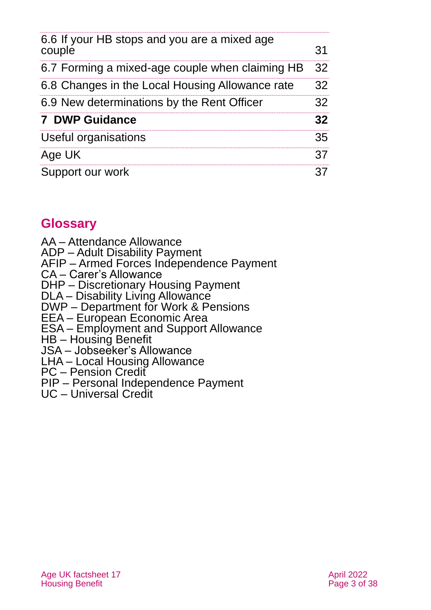| 6.6 If your HB stops and you are a mixed age<br>couple | 31 |
|--------------------------------------------------------|----|
| 6.7 Forming a mixed-age couple when claiming HB        | 32 |
| 6.8 Changes in the Local Housing Allowance rate        | 32 |
| 6.9 New determinations by the Rent Officer             | 32 |
| <b>7 DWP Guidance</b>                                  | 32 |
| Useful organisations                                   | 35 |
| Age UK                                                 | 37 |
| Support our work                                       | 37 |

# **Glossary**

- AA Attendance Allowance
- ADP Adult Disability Payment
- AFIP Armed Forces Independence Payment
- CA Carer's Allowance
- DHP Discretionary Housing Payment
- DLA Disability Living Allowance
- DWP Department for Work & Pensions
- EEA European Economic Area
- ESA Employment and Support Allowance
- HB Housing Benefit
- JSA Jobseeker's Allowance
- LHA Local Housing Allowance
- PC Pension Credit
- PIP Personal Independence Payment
- <span id="page-2-0"></span>UC – Universal Credit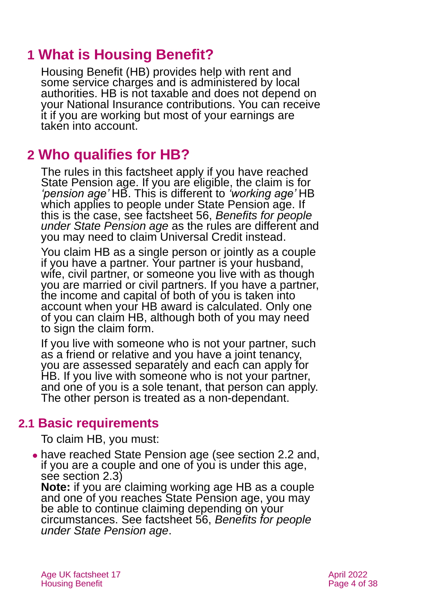# **1 What is Housing Benefit?**

Housing Benefit (HB) provides help with rent and some service charges and is administered by local authorities. HB is not taxable and does not depend on your National Insurance contributions. You can receive it if you are working but most of your earnings are taken into account.

# <span id="page-3-0"></span>**2 Who qualifies for HB?**

The rules in this factsheet apply if you have reached State Pension age. If you are eligible, the claim is for *'pension age'* HB. This is different to *'working age'* HB which applies to people under State Pension age. If this is the case, see factsheet 56, *[Benefits for people](https://www.ageuk.org.uk/globalassets/age-uk/documents/factsheets/fs56-benefits-for-people-under-state-pension-age.pdf)  [under State Pension age](https://www.ageuk.org.uk/globalassets/age-uk/documents/factsheets/fs56-benefits-for-people-under-state-pension-age.pdf)* as the rules are different and you may need to claim Universal Credit instead.

You claim HB as a single person or jointly as a couple if you have a partner. Your partner is your husband, wife, civil partner, or someone you live with as though you are married or civil partners. If you have a partner, the income and capital of both of you is taken into account when your HB award is calculated. Only one of you can claim HB, although both of you may need to sign the claim form.

If you live with someone who is not your partner, such as a friend or relative and you have a joint tenancy, you are assessed separately and each can apply for HB. If you live with someone who is not your partner, and one of you is a sole tenant, that person can apply. The other person is treated as a non-dependant.

# **2.1 Basic requirements**

To claim HB, you must:

⚫ have reached State Pension age (see [section 2.2](#page-4-0) and, if you are a couple and one of you is under this age, see [section 2.3\)](#page-4-1)

**Note:** if you are claiming working age HB as a couple and one of you reaches State Pension age, you may be able to continue claiming depending on your circumstances. See factsheet 56, *[Benefits for people](https://www.ageuk.org.uk/globalassets/age-uk/documents/factsheets/fs56-benefits-for-people-under-state-pension-age.pdf)  [under State Pension age](https://www.ageuk.org.uk/globalassets/age-uk/documents/factsheets/fs56-benefits-for-people-under-state-pension-age.pdf)*.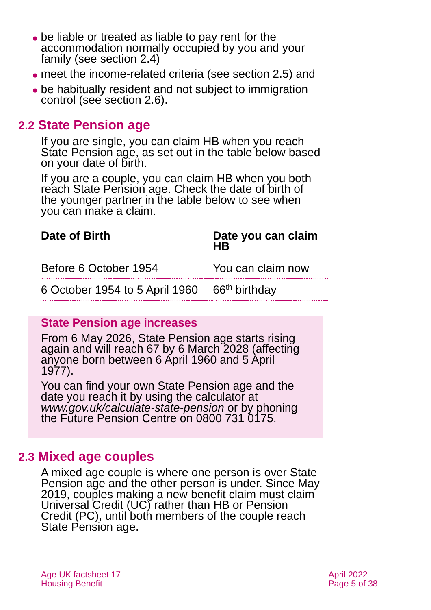- ⚫ be liable or treated as liable to pay rent for the accommodation normally occupied by you and your family (see [section 2.4\)](#page-5-0)
- ⚫ meet the income-related criteria (see [section 2.5\)](#page-6-1) and
- ⚫ be habitually resident and not subject to immigration control (see [section](#page-6-2) 2.6).

# <span id="page-4-0"></span>**2.2 State Pension age**

If you are single, you can claim HB when you reach State Pension age, as set out in the table below based on your date of birth.

If you are a couple, you can claim HB when you both reach State Pension age. Check the date of birth of the younger partner in the table below to see when you can make a claim.

| Date of Birth                                            | Date you can claim<br><b>HR</b> |  |  |
|----------------------------------------------------------|---------------------------------|--|--|
| Before 6 October 1954                                    | You can claim now               |  |  |
| 6 October 1954 to 5 April 1960 66 <sup>th</sup> birthday |                                 |  |  |

#### **State Pension age increases**

From 6 May 2026, State Pension age starts rising again and will reach 67 by 6 March 2028 (affecting anyone born between 6 April 1960 and 5 April 1977).

You can find your own State Pension age and the date you reach it by using the calculator at *[www.gov.uk/calculate-state-pension](http://www.gov.uk/calculate-state-pension)* or by phoning the Future Pension Centre on 0800 731 0175.

# <span id="page-4-1"></span>**2.3 Mixed age couples**

A mixed age couple is where one person is over State Pension age and the other person is under. Since May 2019, couples making a new benefit claim must claim Universal Credit (UC) rather than HB or Pension Credit (PC), until both members of the couple reach State Pension age.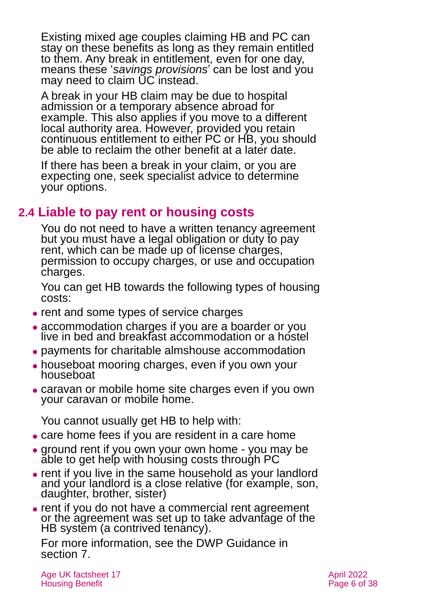Existing mixed age couples claiming HB and PC can stay on these benefits as long as they remain entitled to them. Any break in entitlement, even for one day, means these '*savings provisions*' can be lost and you may need to claim UC instead.

A break in your HB claim may be due to hospital admission or a temporary absence abroad for example. This also applies if you move to a different local authority area. However, provided you retain continuous entitlement to either PC or HB, you should be able to reclaim the other benefit at a later date.

If there has been a break in your claim, or you are expecting one, seek specialist advice to determine your options.

# <span id="page-5-0"></span>**2.4 Liable to pay rent or housing costs**

You do not need to have a written tenancy agreement but you must have a legal obligation or duty to pay rent, which can be made up of license charges, permission to occupy charges, or use and occupation charges.

You can get HB towards the following types of housing costs:

- ⚫ rent and some types of service charges
- ⚫ accommodation charges if you are a boarder or you live in bed and breakfast accommodation or a hostel
- ⚫ payments for charitable almshouse accommodation
- ⚫ houseboat mooring charges, even if you own your houseboat
- ⚫ caravan or mobile home site charges even if you own your caravan or mobile home.

You cannot usually get HB to help with:

- ⚫ care home fees if you are resident in a care home
- ground rent if you own your own home you may be able to get help with housing costs through PC
- ⚫ rent if you live in the same household as your landlord and your landlord is a close relative (for example, son, daughter, brother, sister)
- rent if you do not have a commercial rent agreement or the agreement was set up to take advantage of the HB system (a contrived tenancy).

For more information, see the DWP Guidance in [section 7.](#page-31-0)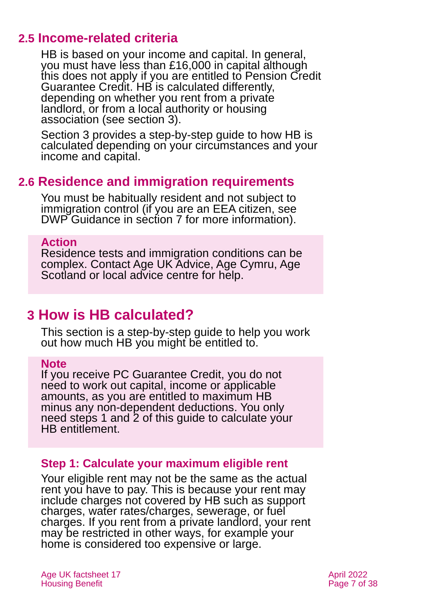# <span id="page-6-1"></span>**2.5 Income-related criteria**

HB is based on your income and capital. In general, you must have less than £16,000 in capital although this does not apply if you are entitled to Pension Credit Guarantee Credit. HB is calculated differently, depending on whether you rent from a private landlord, or from a local authority or housing association [\(see section 3\)](#page-6-0).

[Section 3](#page-6-0) provides a step-by-step guide to how HB is calculated depending on your circumstances and your income and capital.

# <span id="page-6-2"></span>**2.6 Residence and immigration requirements**

You must be habitually resident and not subject to immigration control (if you are an EEA citizen, see DWP Guidance in [section 7](#page-31-0) for more information).

#### **Action**

Residence tests and immigration conditions can be complex. Contact [Age UK Advice,](#page-36-1) [Age Cymru,](#page-36-3) [Age](#page-36-4)  [Scotland](#page-36-4) or local advice centre for help.

# <span id="page-6-0"></span>**3 How is HB calculated?**

This section is a step-by-step guide to help you work out how much HB you might be entitled to.

#### **Note**

If you receive PC Guarantee Credit, you do not need to work out capital, income or applicable amounts, as you are entitled to maximum HB minus any non-dependent deductions. You only need steps 1 and 2 of this guide to calculate your HB entitlement.

#### <span id="page-6-3"></span>**Step 1: Calculate your maximum eligible rent**

Your eligible rent may not be the same as the actual rent you have to pay. This is because your rent may include charges not covered by HB such as support charges, water rates/charges, sewerage, or fuel charges. If you rent from a private landlord, your rent may be restricted in other ways, for example your home is considered too expensive or large.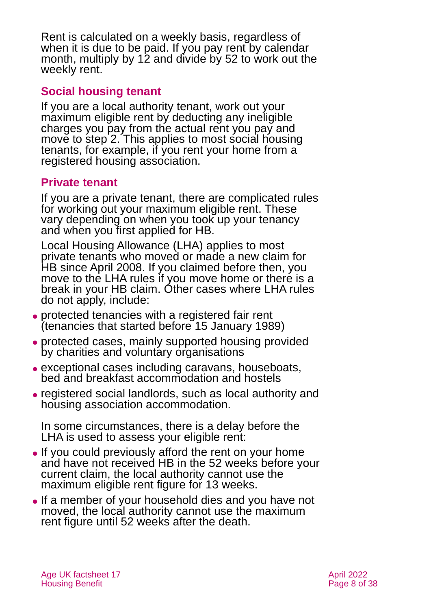Rent is calculated on a weekly basis, regardless of when it is due to be paid. If you pay rent by calendar month, multiply by 12 and divide by 52 to work out the weekly rent.

#### **Social housing tenant**

If you are a local authority tenant, work out your maximum eligible rent by deducting any ineligible charges you pay from the actual rent you pay and move to step 2. This applies to most social housing tenants, for example, if you rent your home from a registered housing association.

#### **Private tenant**

If you are a private tenant, there are complicated rules for working out your maximum eligible rent. These vary depending on when you took up your tenancy and when you first applied for HB.

Local Housing Allowance (LHA) applies to most private tenants who moved or made a new claim for HB since April 2008. If you claimed before then, you move to the LHA rules if you move home or there is a break in your HB claim. Other cases where LHA rules do not apply, include:

- ⚫ protected tenancies with a registered fair rent (tenancies that started before 15 January 1989)
- ⚫ protected cases, mainly supported housing provided by charities and voluntary organisations
- ⚫ exceptional cases including caravans, houseboats, bed and breakfast accommodation and hostels
- ⚫ registered social landlords, such as local authority and housing association accommodation.

In some circumstances, there is a delay before the LHA is used to assess your eligible rent:

- ⚫ If you could previously afford the rent on your home and have not received HB in the 52 weeks before your current claim, the local authority cannot use the maximum eligible rent figure for 13 weeks.
- ⚫ If a member of your household dies and you have not moved, the local authority cannot use the maximum rent figure until 52 weeks after the death.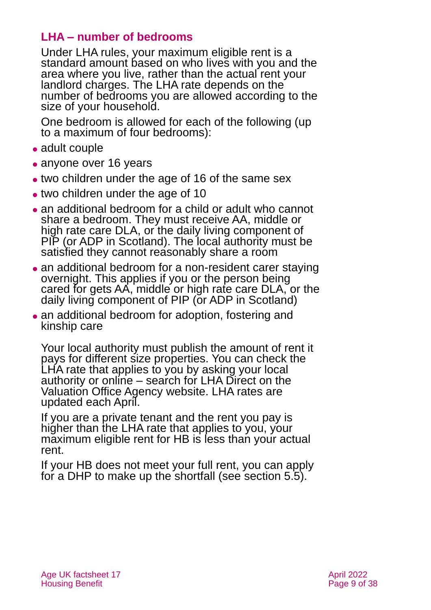#### **LHA – number of bedrooms**

Under LHA rules, your maximum eligible rent is a standard amount based on who lives with you and the area where you live, rather than the actual rent your landlord charges. The LHA rate depends on the number of bedrooms you are allowed according to the size of your household.

One bedroom is allowed for each of the following (up to a maximum of four bedrooms):

- adult couple
- anyone over 16 years
- two children under the age of 16 of the same sex
- two children under the age of 10
- an additional bedroom for a child or adult who cannot share a bedroom. They must receive AA, middle or high rate care DLA, or the daily living component of PIP (or ADP in Scotland). The local authority must be satisfied they cannot reasonably share a room
- an additional bedroom for a non-resident carer staying overnight. This applies if you or the person being cared for gets AA, middle or high rate care DLA, or the daily living component of PIP (or ADP in Scotland)
- an additional bedroom for adoption, fostering and kinship care

Your local authority must publish the amount of rent it pays for different size properties. You can check the LHA rate that applies to you by asking your local authority or online – search for LHA Direct on the [Valuation Office Agency](https://www.gov.uk/government/organisations/valuation-office-agency) website. LHA rates are updated each April.

If you are a private tenant and the rent you pay is higher than the LHA rate that applies to you, your maximum eligible rent for HB is less than your actual rent.

If your HB does not meet your full rent, you can apply for a DHP to make up the shortfall (see [section 5.5\)](#page-26-0).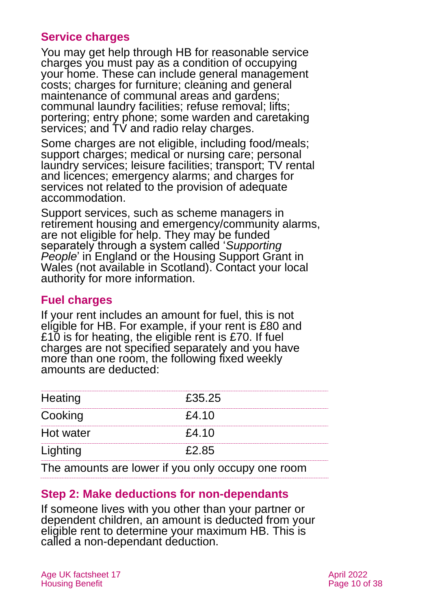#### **Service charges**

You may get help through HB for reasonable service charges you must pay as a condition of occupying your home. These can include general management costs; charges for furniture; cleaning and general maintenance of communal areas and gardens; communal laundry facilities; refuse removal; lifts; portering; entry phone; some warden and caretaking services; and TV and radio relay charges.

Some charges are not eligible, including food/meals; support charges; medical or nursing care; personal laundry services; leisure facilities; transport; TV rental and licences; emergency alarms; and charges for services not related to the provision of adequate accommodation.

Support services, such as scheme managers in retirement housing and emergency/community alarms, are not eligible for help. They may be funded separately through a system called '*Supporting People*' in England or the Housing Support Grant in Wales (not available in Scotland). Contact your local authority for more information.

#### **Fuel charges**

If your rent includes an amount for fuel, this is not eligible for HB. For example, if your rent is £80 and £10 is for heating, the eligible rent is £70. If fuel charges are not specified separately and you have more than one room, the following fixed weekly amounts are deducted:

| Heating   | £35.25 |
|-----------|--------|
| Cooking   | £4.10  |
| Hot water | £4.10  |
| Lighting  | F2 85  |
|           |        |

The amounts are lower if you only occupy one room

#### <span id="page-9-0"></span>**Step 2: Make deductions for non-dependants**

If someone lives with you other than your partner or dependent children, an amount is deducted from your eligible rent to determine your maximum HB. This is called a non-dependant deduction.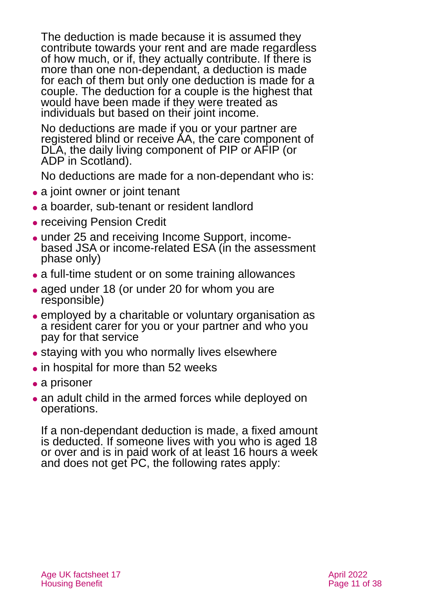The deduction is made because it is assumed they contribute towards your rent and are made regardless of how much, or if, they actually contribute. If there is more than one non-dependant, a deduction is made for each of them but only one deduction is made for a couple. The deduction for a couple is the highest that would have been made if they were treated as individuals but based on their joint income.

No deductions are made if you or your partner are registered blind or receive AA, the care component of DLA, the daily living component of PIP or AFIP (or ADP in Scotland).

No deductions are made for a non-dependant who is:

- a joint owner or joint tenant
- a boarder, sub-tenant or resident landlord
- receiving Pension Credit
- under 25 and receiving Income Support, incomebased JSA or income-related ESA (in the assessment phase only)
- a full-time student or on some training allowances
- aged under 18 (or under 20 for whom you are responsible)
- ⚫ employed by a charitable or voluntary organisation as a resident carer for you or your partner and who you pay for that service
- staying with you who normally lives elsewhere
- in hospital for more than 52 weeks
- a prisoner
- an adult child in the armed forces while deployed on operations.

If a non-dependant deduction is made, a fixed amount is deducted. If someone lives with you who is aged 18 or over and is in paid work of at least 16 hours a week and does not get PC, the following rates apply: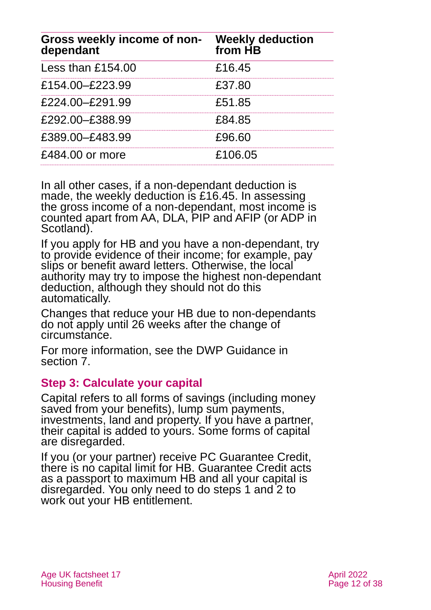| Gross weekly income of non- Weekly deduction<br>dependant | from HB |
|-----------------------------------------------------------|---------|
| Less than £154.00                                         | £16.45  |
| £154.00-£223.99                                           | £37.80  |
| £224.00-£291.99                                           | £51.85  |
| £292.00-£388.99                                           | £84.85  |
| £389.00-£483.99                                           | £96.60  |
| £484.00 or more                                           | £106.05 |

In all other cases, if a non-dependant deduction is made, the weekly deduction is £16.45. In assessing the gross income of a non-dependant, most income is counted apart from AA, DLA, PIP and AFIP (or ADP in Scotland).

If you apply for HB and you have a non-dependant, try to provide evidence of their income; for example, pay slips or benefit award letters. Otherwise, the local authority may try to impose the highest non-dependant deduction, although they should not do this automatically.

Changes that reduce your HB due to non-dependants do not apply until 26 weeks after the change of circumstance.

For more information, see the DWP Guidance in [section 7.](#page-31-0)

#### <span id="page-11-0"></span>**Step 3: Calculate your capital**

Capital refers to all forms of savings (including money saved from your benefits), lump sum payments, investments, land and property. If you have a partner, their capital is added to yours. Some forms of capital are disregarded.

If you (or your partner) receive PC Guarantee Credit, there is no capital limit for HB. Guarantee Credit acts as a passport to maximum HB and all your capital is disregarded. You only need to do steps 1 and 2 to work out your HB entitlement.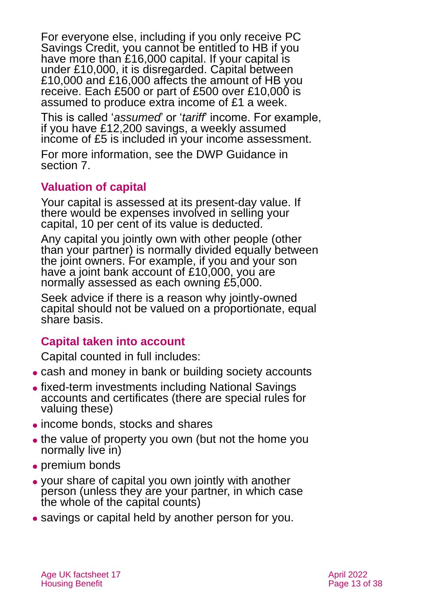For everyone else, including if you only receive PC Savings Credit, you cannot be entitled to HB if you have more than £16,000 capital. If your capital is under £10,000, it is disregarded. Capital between £10,000 and £16,000 affects the amount of HB you receive. Each £500 or part of £500 over £10,000 is assumed to produce extra income of £1 a week.

This is called '*assumed*' or '*tariff*' income. For example, if you have £12,200 savings, a weekly assumed income of £5 is included in your income assessment.

For more information, see the DWP Guidance in [section 7.](#page-31-0)

### **Valuation of capital**

Your capital is assessed at its present-day value. If there would be expenses involved in selling your capital, 10 per cent of its value is deducted.

Any capital you jointly own with other people (other than your partner) is normally divided equally between the joint owners. For example, if you and your son have a joint bank account of £10,000, you are normally assessed as each owning £5,000.

Seek advice if there is a reason why jointly-owned capital should not be valued on a proportionate, equal share basis.

#### **Capital taken into account**

Capital counted in full includes:

- cash and money in bank or building society accounts
- ⚫ fixed-term investments including National Savings accounts and certificates (there are special rules for valuing these)
- ⚫ income bonds, stocks and shares
- the value of property you own (but not the home you normally live in)
- ⚫ premium bonds
- ⚫ your share of capital you own jointly with another person (unless they are your partner, in which case the whole of the capital counts)
- ⚫ savings or capital held by another person for you.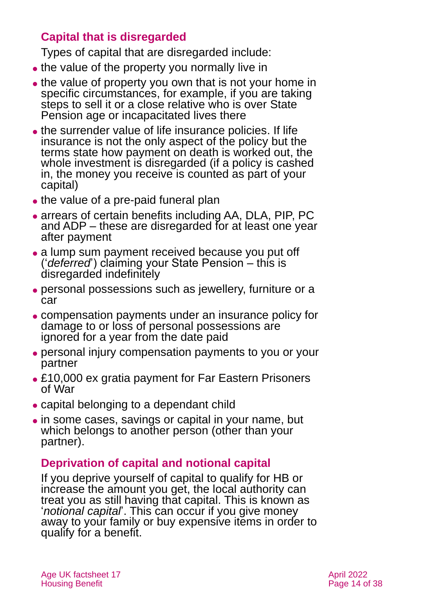### **Capital that is disregarded**

Types of capital that are disregarded include:

- the value of the property you normally live in
- the value of property you own that is not your home in specific circumstances, for example, if you are taking steps to sell it or a close relative who is over State Pension age or incapacitated lives there
- ⚫ the surrender value of life insurance policies. If life insurance is not the only aspect of the policy but the terms state how payment on death is worked out, the whole investment is disregarded (if a policy is cashed in, the money you receive is counted as part of your capital)
- the value of a pre-paid funeral plan
- arrears of certain benefits including AA, DLA, PIP, PC and ADP – these are disregarded for at least one year after payment
- a lump sum payment received because you put off ('*deferred*') claiming your State Pension – this is disregarded indefinitely
- ⚫ personal possessions such as jewellery, furniture or a car
- ⚫ compensation payments under an insurance policy for damage to or loss of personal possessions are ignored for a year from the date paid
- ⚫ personal injury compensation payments to you or your partner
- £10,000 ex gratia payment for Far Eastern Prisoners of War
- ⚫ capital belonging to a dependant child
- ⚫ in some cases, savings or capital in your name, but which belongs to another person (other than your partner).

### **Deprivation of capital and notional capital**

If you deprive yourself of capital to qualify for HB or increase the amount you get, the local authority can treat you as still having that capital. This is known as '*notional capital*'. This can occur if you give money away to your family or buy expensive items in order to qualify for a benefit.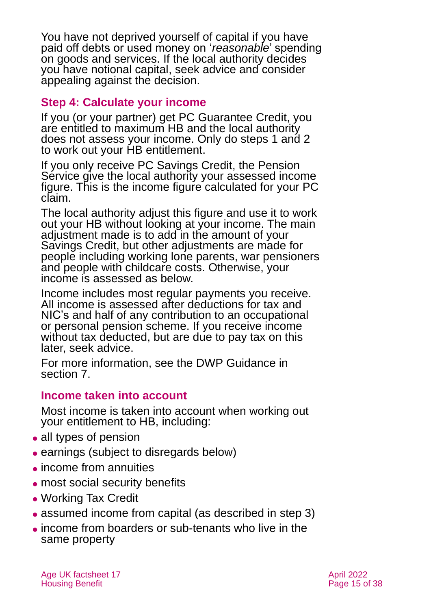You have not deprived yourself of capital if you have paid off debts or used money on '*reasonable*' spending on goods and services. If the local authority decides you have notional capital, seek advice and consider appealing against the decision.

#### <span id="page-14-0"></span>**Step 4: Calculate your income**

If you (or your partner) get PC Guarantee Credit, you are entitled to maximum HB and the local authority does not assess your income. Only do steps 1 and 2 to work out your HB entitlement.

If you only receive PC Savings Credit, the Pension Service give the local authority your assessed income figure. This is the income figure calculated for your PC claim.

The local authority adjust this figure and use it to work out your HB without looking at your income. The main adjustment made is to add in the amount of your Savings Credit, but other adjustments are made for people including working lone parents, war pensioners and people with childcare costs. Otherwise, your income is assessed as below.

Income includes most regular payments you receive. All income is assessed after deductions for tax and NIC's and half of any contribution to an occupational or personal pension scheme. If you receive income without tax deducted, but are due to pay tax on this later, seek advice.

For more information, see the DWP Guidance in [section 7.](#page-31-0)

#### **Income taken into account**

Most income is taken into account when working out your entitlement to HB, including:

- all types of pension
- ⚫ earnings (subject to disregards below)
- ⚫ income from annuities
- most social security benefits
- ⚫ Working Tax Credit
- assumed income from capital (as described in [step 3\)](#page-11-0)
- ⚫ income from boarders or sub-tenants who live in the same property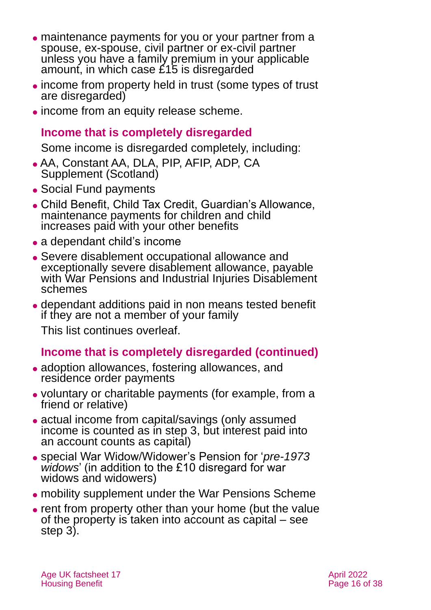- ⚫ maintenance payments for you or your partner from a spouse, ex-spouse, civil partner or ex-civil partner unless you have a family premium in your applicable amount, in which case £15 is disregarded
- ⚫ income from property held in trust (some types of trust are disregarded)
- ⚫ income from an equity release scheme.

#### **Income that is completely disregarded**

Some income is disregarded completely, including:

- ⚫ AA, Constant AA, DLA, PIP, AFIP, ADP, CA Supplement (Scotland)
- Social Fund payments
- ⚫ Child Benefit, Child Tax Credit, Guardian's Allowance, maintenance payments for children and child increases paid with your other benefits
- a dependant child's income
- ⚫ Severe disablement occupational allowance and exceptionally severe disablement allowance, payable with War Pensions and Industrial Injuries Disablement schemes
- ⚫ dependant additions paid in non means tested benefit if they are not a member of your family

This list continues overleaf.

### **Income that is completely disregarded (continued)**

- adoption allowances, fostering allowances, and residence order payments
- ⚫ voluntary or charitable payments (for example, from a friend or relative)
- actual income from capital/savings (only assumed income is counted as in [step 3,](#page-11-0) but interest paid into an account counts as capital)
- ⚫ special War Widow/Widower's Pension for '*pre-1973 widows*' (in addition to the £10 disregard for war widows and widowers)
- ⚫ mobility supplement under the War Pensions Scheme
- ⚫ rent from property other than your home (but the value of the property is taken into account as capital – see [step 3\)](#page-11-0).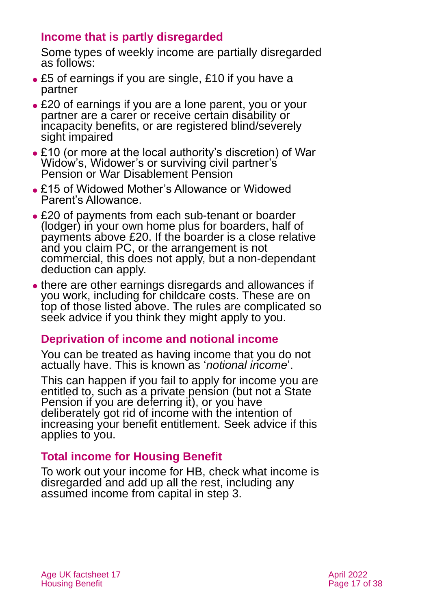### **Income that is partly disregarded**

Some types of weekly income are partially disregarded as follows:

- ⚫ £5 of earnings if you are single, £10 if you have a partner
- ⚫ £20 of earnings if you are a lone parent, you or your partner are a carer or receive certain disability or incapacity benefits, or are registered blind/severely sight impaired
- ⚫ £10 (or more at the local authority's discretion) of War Widow's, Widower's or surviving civil partner's Pension or War Disablement Pension
- ⚫ £15 of Widowed Mother's Allowance or Widowed Parent's Allowance.
- ⚫ £20 of payments from each sub-tenant or boarder (lodger) in your own home plus for boarders, half of payments above £20. If the boarder is a close relative and you claim PC, or the arrangement is not commercial, this does not apply, but a non-dependant deduction can apply.
- ⚫ there are other earnings disregards and allowances if you work, including for childcare costs. These are on top of those listed above. The rules are complicated so seek advice if you think they might apply to you.

### **Deprivation of income and notional income**

You can be treated as having income that you do not actually have. This is known as '*notional income*'.

This can happen if you fail to apply for income you are entitled to, such as a private pension (but not a State Pension if you are deferring it), or you have deliberately got rid of income with the intention of increasing your benefit entitlement. Seek advice if this applies to you.

#### **Total income for Housing Benefit**

To work out your income for HB, check what income is disregarded and add up all the rest, including any assumed income from capital in [step 3.](#page-11-0)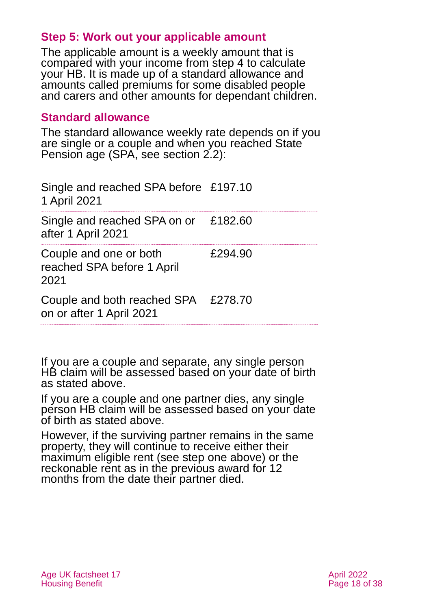#### **Step 5: Work out your applicable amount**

The applicable amount is a weekly amount that is compared with your income from [step 4](#page-14-0) to calculate your HB. It is made up of a standard allowance and amounts called premiums for some disabled people and carers and other amounts for dependant children.

#### **Standard allowance**

The standard allowance weekly rate depends on if you are single or a couple and when you reached State Pension age (SPA, see [section 2.2\)](#page-4-0):

| Single and reached SPA before £197.10<br>1 April 2021           |         |
|-----------------------------------------------------------------|---------|
| Single and reached SPA on or £182.60<br>after 1 April 2021      |         |
| Couple and one or both<br>reached SPA before 1 April<br>2021    | £294.90 |
| Couple and both reached SPA £278.70<br>on or after 1 April 2021 |         |

If you are a couple and separate, any single person HB claim will be assessed based on your date of birth as stated above.

If you are a couple and one partner dies, any single person HB claim will be assessed based on your date of birth as stated above.

However, if the surviving partner remains in the same property, they will continue to receive either their maximum eligible rent (see [step one](#page-6-3) above) or the reckonable rent as in the previous award for 12 months from the date their partner died.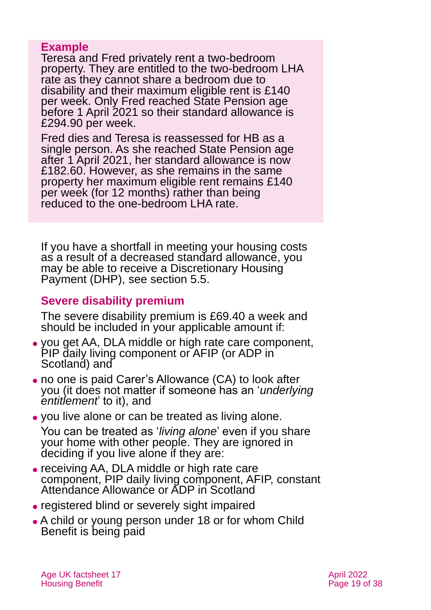#### **Example**

Teresa and Fred privately rent a two-bedroom property. They are entitled to the two-bedroom LHA rate as they cannot share a bedroom due to disability and their maximum eligible rent is £140 per week. Only Fred reached State Pension age before 1 April 2021 so their standard allowance is £294.90 per week.

Fred dies and Teresa is reassessed for HB as a single person. As she reached State Pension age after 1 April 2021, her standard allowance is now £182.60. However, as she remains in the same property her maximum eligible rent remains £140 per week (for 12 months) rather than being reduced to the one-bedroom LHA rate.

If you have a shortfall in meeting your housing costs as a result of a decreased standard allowance, you may be able to receive a Discretionary Housing Payment (DHP), see [section 5.5.](#page-26-0)

#### **Severe disability premium**

The severe disability premium is £69.40 a week and should be included in your applicable amount if:

- ⚫ you get AA, DLA middle or high rate care component, PIP daily living component or AFIP (or ADP in Scotland) and
- ⚫ no one is paid Carer's Allowance (CA) to look after you (it does not matter if someone has an '*underlying entitlement*' to it), and
- ⚫ you live alone or can be treated as living alone.

You can be treated as '*living alone*' even if you share your home with other people. They are ignored in deciding if you live alone if they are:

- ⚫ receiving AA, DLA middle or high rate care component, PIP daily living component, AFIP, constant Attendance Allowance or ADP in Scotland
- ⚫ registered blind or severely sight impaired
- ⚫ A child or young person under 18 or for whom Child Benefit is being paid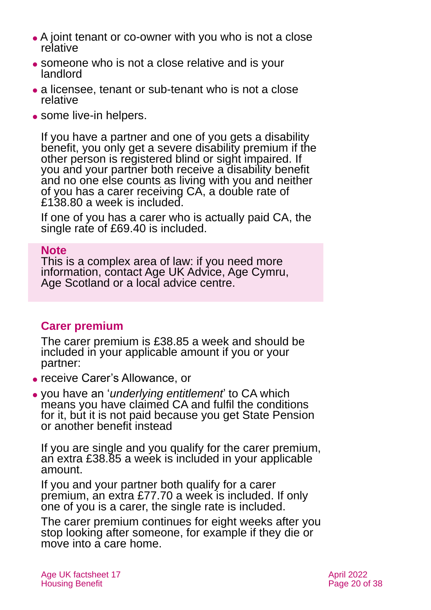- A joint tenant or co-owner with you who is not a close relative
- ⚫ someone who is not a close relative and is your landlord
- a licensee, tenant or sub-tenant who is not a close relative
- some live-in helpers.

If you have a partner and one of you gets a disability benefit, you only get a severe disability premium if the other person is registered blind or sight impaired. If you and your partner both receive a disability benefit and no one else counts as living with you and neither of you has a carer receiving CA, a double rate of £138.80 a week is included.

If one of you has a carer who is actually paid CA, the single rate of £69.40 is included.

#### **Note**

This is a complex area of law: if you need more information, contact [Age UK Advice,](#page-36-1) [Age Cymru,](#page-36-3) [Age Scotland](#page-36-4) or a local advice centre.

#### **Carer premium**

The carer premium is £38.85 a week and should be included in your applicable amount if you or your partner:

- ⚫ receive Carer's Allowance, or
- ⚫ you have an '*underlying entitlement*' to CA which means you have claimed CA and fulfil the conditions for it, but it is not paid because you get State Pension or another benefit instead

If you are single and you qualify for the carer premium, an extra £38.85 a week is included in your applicable amount.

If you and your partner both qualify for a carer premium, an extra £77.70 a week is included. If only one of you is a carer, the single rate is included.

The carer premium continues for eight weeks after you stop looking after someone, for example if they die or move into a care home.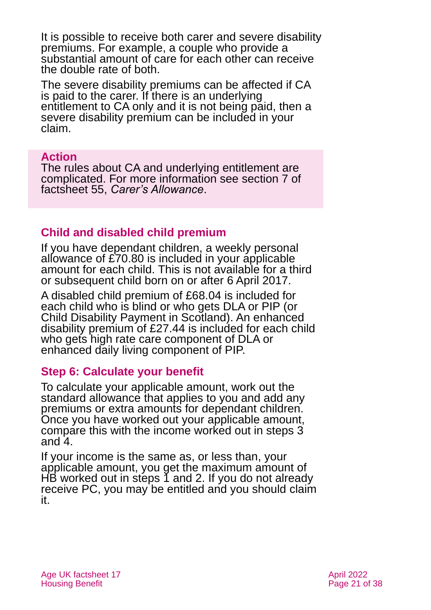It is possible to receive both carer and severe disability premiums. For example, a couple who provide a substantial amount of care for each other can receive the double rate of both.

The severe disability premiums can be affected if CA is paid to the carer. If there is an underlying entitlement to CA only and it is not being paid, then a severe disability premium can be included in your claim.

#### **Action**

The rules about CA and underlying entitlement are complicated. For more information see section 7 of factsheet 55, *[Carer's Allowance](https://www.ageuk.org.uk/globalassets/age-uk/documents/factsheets/fs55_carers_allowance_fcs.pdf)*.

# **Child and disabled child premium**

If you have dependant children, a weekly personal allowance of £70.80 is included in your applicable amount for each child. This is not available for a third or subsequent child born on or after 6 April 2017.

A disabled child premium of £68.04 is included for each child who is blind or who gets DLA or PIP (or Child Disability Payment in Scotland). An enhanced disability premium of £27.44 is included for each child who gets high rate care component of DLA or enhanced daily living component of PIP.

#### **Step 6: Calculate your benefit**

To calculate your applicable amount, work out the standard allowance that applies to you and add any premiums or extra amounts for dependant children. Once you have worked out your applicable amount, compare this with the income worked out in [steps 3](#page-11-0) and [4.](#page-14-0)

If your income is the same as, or less than, your applicable amount, you get the maximum amount of HB worked out in [steps 1](#page-6-3) [and 2.](#page-9-0) If you do not already receive PC, you may be entitled and you should claim it.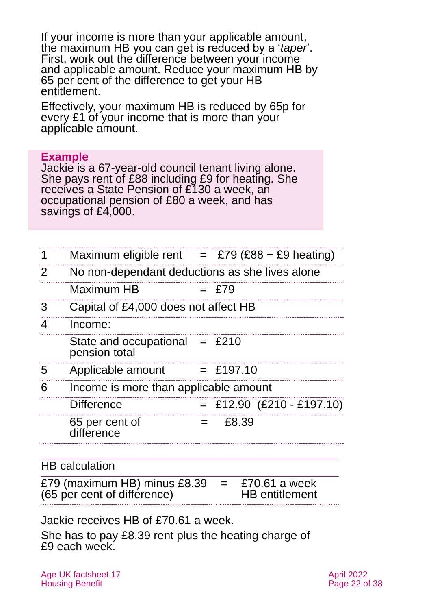If your income is more than your applicable amount, the maximum HB you can get is reduced by a '*taper*'. First, work out the difference between your income and applicable amount. Reduce your maximum HB by 65 per cent of the difference to get your HB entitlement.

Effectively, your maximum HB is reduced by 65p for every £1 of your income that is more than your applicable amount.

#### **Example**

Jackie is a 67-year-old council tenant living alone. She pays rent of £88 including £9 for heating. She receives a State Pension of £130 a week, an occupational pension of £80 a week, and has savings of £4,000.

| 1 | Maximum eligible rent $=$ £79 (£88 – £9 heating) |     |                             |  |  |  |
|---|--------------------------------------------------|-----|-----------------------------|--|--|--|
| 2 | No non-dependant deductions as she lives alone   |     |                             |  |  |  |
|   | Maximum HB                                       |     | $=$ £79                     |  |  |  |
| 3 | Capital of £4,000 does not affect HB             |     |                             |  |  |  |
| 4 | Income:                                          |     |                             |  |  |  |
|   | State and occupational $=$ £210<br>pension total |     |                             |  |  |  |
| 5 | Applicable amount                                |     | $=$ £197.10                 |  |  |  |
| 6 | Income is more than applicable amount            |     |                             |  |  |  |
|   | <b>Difference</b>                                |     | $=$ £12.90 (£210 - £197.10) |  |  |  |
|   | 65 per cent of<br>difference                     | $=$ | £8.39                       |  |  |  |
|   |                                                  |     |                             |  |  |  |

#### HB calculation

£79 (maximum HB) minus £8.39 (65 per cent of difference)  $=$  £70.61 a week HB entitlement

Jackie receives HB of £70.61 a week.

She has to pay £8.39 rent plus the heating charge of £9 each week.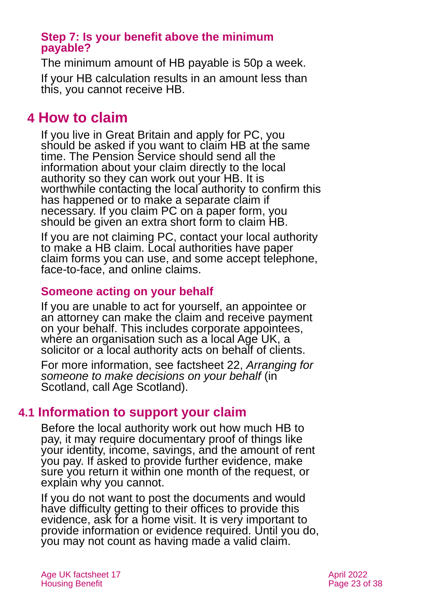#### **Step 7: Is your benefit above the minimum payable?**

The minimum amount of HB payable is 50p a week. If your HB calculation results in an amount less than this, you cannot receive HB.

# <span id="page-22-0"></span>**4 How to claim**

If you live in Great Britain and apply for PC, you should be asked if you want to claim HB at the same time. The Pension Service should send all the information about your claim directly to the local authority so they can work out your HB. It is worthwhile contacting the local authority to confirm this has happened or to make a separate claim if necessary. If you claim PC on a paper form, you should be given an extra short form to claim HB.

If you are not claiming PC, contact your local authority to make a HB claim. Local authorities have paper claim forms you can use, and some accept telephone, face-to-face, and online claims.

#### **Someone acting on your behalf**

If you are unable to act for yourself, an appointee or an attorney can make the claim and receive payment on your behalf. This includes corporate appointees, where an organisation such as a local Age UK, a solicitor or a local authority acts on behalf of clients.

For more information, see factsheet 22, *[Arranging for](https://www.ageuk.org.uk/globalassets/age-uk/documents/factsheets/fs22_arranging_for_someone_to_make_decisions_on_your_behalf_fcs.pdf)  [someone to make decisions on your behalf](https://www.ageuk.org.uk/globalassets/age-uk/documents/factsheets/fs22_arranging_for_someone_to_make_decisions_on_your_behalf_fcs.pdf)* (in Scotland, call Age Scotland).

### **4.1 Information to support your claim**

Before the local authority work out how much HB to pay, it may require documentary proof of things like your identity, income, savings, and the amount of rent you pay. If asked to provide further evidence, make sure you return it within one month of the request, or explain why you cannot.

If you do not want to post the documents and would have difficulty getting to their offices to provide this evidence, ask for a home visit. It is very important to provide information or evidence required. Until you do, you may not count as having made a valid claim.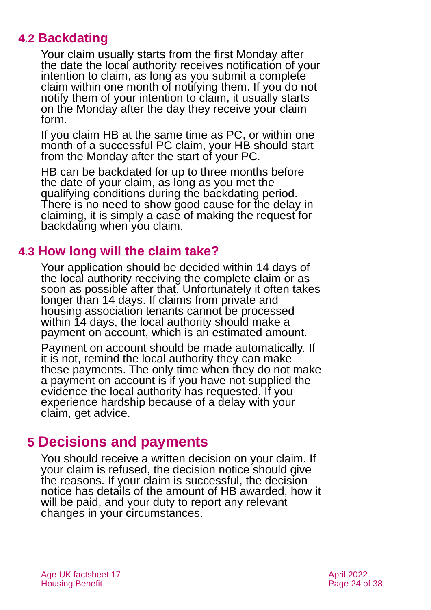# **4.2 Backdating**

Your claim usually starts from the first Monday after the date the local authority receives notification of your intention to claim, as long as you submit a complete claim within one month of notifying them. If you do not notify them of your intention to claim, it usually starts on the Monday after the day they receive your claim form.

If you claim HB at the same time as PC, or within one month of a successful PC claim, your HB should start from the Monday after the start of your PC.

HB can be backdated for up to three months before the date of your claim, as long as you met the qualifying conditions during the backdating period. There is no need to show good cause for the delay in claiming, it is simply a case of making the request for backdating when you claim.

# **4.3 How long will the claim take?**

Your application should be decided within 14 days of the local authority receiving the complete claim or as soon as possible after that. Unfortunately it often takes longer than 14 days. If claims from private and housing association tenants cannot be processed within 14 days, the local authority should make a payment on account, which is an estimated amount.

Payment on account should be made automatically. If it is not, remind the local authority they can make these payments. The only time when they do not make a payment on account is if you have not supplied the evidence the local authority has requested. If you experience hardship because of a delay with your claim, get advice.

# <span id="page-23-0"></span>**5 Decisions and payments**

You should receive a written decision on your claim. If your claim is refused, the decision notice should give the reasons. If your claim is successful, the decision notice has details of the amount of HB awarded, how it will be paid, and your duty to report any relevant changes in your circumstances.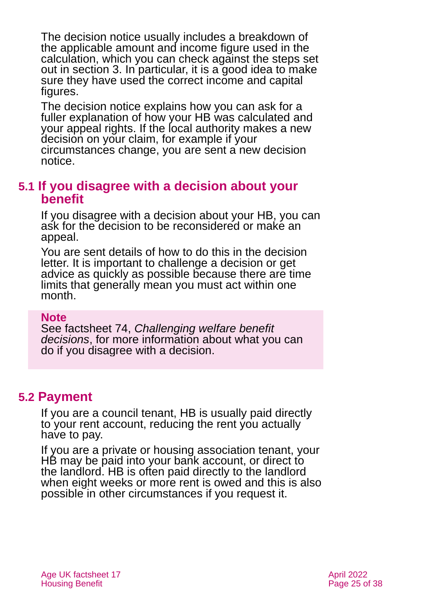The decision notice usually includes a breakdown of the applicable amount and income figure used in the calculation, which you can check against the steps set out in [section 3.](#page-6-0) In particular, it is a good idea to make sure they have used the correct income and capital figures.

The decision notice explains how you can ask for a fuller explanation of how your HB was calculated and your appeal rights. If the local authority makes a new decision on your claim, for example if your circumstances change, you are sent a new decision notice.

#### **5.1 If you disagree with a decision about your benefit**

If you disagree with a decision about your HB, you can ask for the decision to be reconsidered or make an appeal.

You are sent details of how to do this in the decision letter. It is important to challenge a decision or get advice as quickly as possible because there are time limits that generally mean you must act within one month.

#### **Note**

See factsheet 74, *[Challenging welfare benefit](https://www.ageuk.org.uk/globalassets/age-uk/documents/factsheets/fs74_challenging_welfare_benefit_decisions_fcs.pdf)  [decisions](https://www.ageuk.org.uk/globalassets/age-uk/documents/factsheets/fs74_challenging_welfare_benefit_decisions_fcs.pdf)*, for more information about what you can do if you disagree with a decision.

# **5.2 Payment**

If you are a council tenant, HB is usually paid directly to your rent account, reducing the rent you actually have to pay.

If you are a private or housing association tenant, your HB may be paid into your bank account, or direct to the landlord. HB is often paid directly to the landlord when eight weeks or more rent is owed and this is also possible in other circumstances if you request it.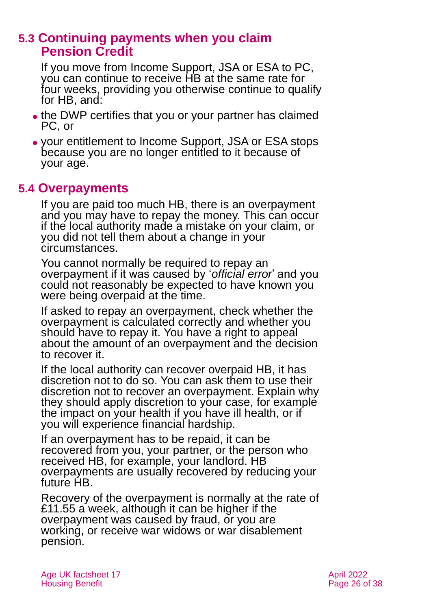### **5.3 Continuing payments when you claim Pension Credit**

If you move from Income Support, JSA or ESA to PC, you can continue to receive HB at the same rate for four weeks, providing you otherwise continue to qualify for HB, and:

- the DWP certifies that you or your partner has claimed PC, or
- ⚫ your entitlement to Income Support, JSA or ESA stops because you are no longer entitled to it because of your age.

### <span id="page-25-0"></span>**5.4 Overpayments**

If you are paid too much HB, there is an overpayment and you may have to repay the money. This can occur if the local authority made a mistake on your claim, or you did not tell them about a change in your circumstances.

You cannot normally be required to repay an overpayment if it was caused by '*official error*' and you could not reasonably be expected to have known you were being overpaid at the time.

If asked to repay an overpayment, check whether the overpayment is calculated correctly and whether you should have to repay it. You have a right to appeal about the amount of an overpayment and the decision to recover it.

If the local authority can recover overpaid HB, it has discretion not to do so. You can ask them to use their discretion not to recover an overpayment. Explain why they should apply discretion to your case, for example the impact on your health if you have ill health, or if you will experience financial hardship.

If an overpayment has to be repaid, it can be recovered from you, your partner, or the person who received HB, for example, your landlord. HB overpayments are usually recovered by reducing your future HB.

Recovery of the overpayment is normally at the rate of £11.55 a week, although it can be higher if the overpayment was caused by fraud, or you are working, or receive war widows or war disablement pension.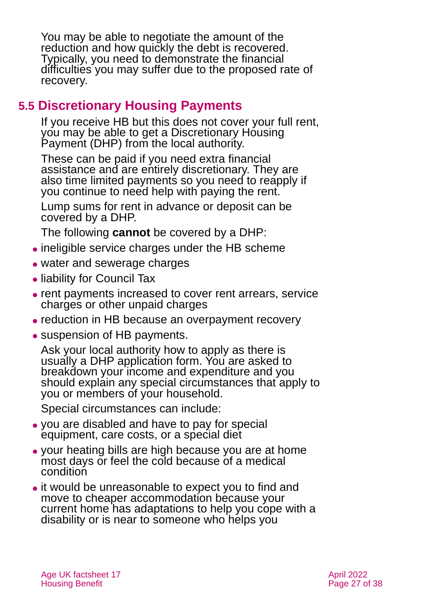You may be able to negotiate the amount of the reduction and how quickly the debt is recovered. Typically, you need to demonstrate the financial difficulties you may suffer due to the proposed rate of recovery.

# <span id="page-26-0"></span>**5.5 Discretionary Housing Payments**

If you receive HB but this does not cover your full rent, you may be able to get a Discretionary Housing Payment (DHP) from the local authority.

These can be paid if you need extra financial assistance and are entirely discretionary. They are also time limited payments so you need to reapply if you continue to need help with paying the rent.

Lump sums for rent in advance or deposit can be covered by a DHP.

The following **cannot** be covered by a DHP:

- ⚫ ineligible service charges under the HB scheme
- water and sewerage charges
- liability for Council Tax
- ⚫ rent payments increased to cover rent arrears, service charges or other unpaid charges
- ⚫ reduction in HB because an overpayment recovery
- suspension of HB payments.

Ask your local authority how to apply as there is usually a DHP application form. You are asked to breakdown your income and expenditure and you should explain any special circumstances that apply to you or members of your household.

Special circumstances can include:

- ⚫ you are disabled and have to pay for special equipment, care costs, or a special diet
- ⚫ your heating bills are high because you are at home most days or feel the cold because of a medical condition
- ⚫ it would be unreasonable to expect you to find and move to cheaper accommodation because your current home has adaptations to help you cope with a disability or is near to someone who helps you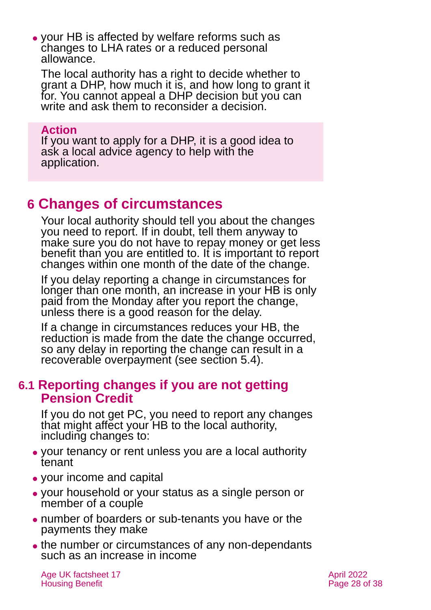⚫ your HB is affected by welfare reforms such as changes to LHA rates or a reduced personal allowance.

The local authority has a right to decide whether to grant a DHP, how much it is, and how long to grant it for. You cannot appeal a DHP decision but you can write and ask them to reconsider a decision.

#### **Action**

If you want to apply for a DHP, it is a good idea to ask a local advice agency to help with the application.

# <span id="page-27-0"></span>**6 Changes of circumstances**

Your local authority should tell you about the changes you need to report. If in doubt, tell them anyway to make sure you do not have to repay money or get less benefit than you are entitled to. It is important to report changes within one month of the date of the change.

If you delay reporting a change in circumstances for longer than one month, an increase in your HB is only paid from the Monday after you report the change, unless there is a good reason for the delay.

If a change in circumstances reduces your HB, the reduction is made from the date the change occurred, so any delay in reporting the change can result in a recoverable overpayment (see [section 5.4\)](#page-25-0).

#### **6.1 Reporting changes if you are not getting Pension Credit**

If you do not get PC, you need to report any changes that might affect your HB to the local authority, including changes to:

- ⚫ your tenancy or rent unless you are a local authority tenant
- ⚫ your income and capital
- ⚫ your household or your status as a single person or member of a couple
- ⚫ number of boarders or sub-tenants you have or the payments they make
- ⚫ the number or circumstances of any non-dependants such as an increase in income

Age UK factsheet 17 April 2022 **April 2022** Housing Benefit **Page 28 of 38**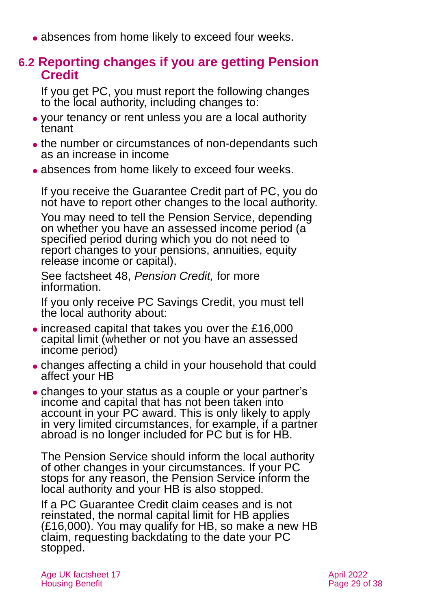• absences from home likely to exceed four weeks.

# **6.2 Reporting changes if you are getting Pension Credit**

If you get PC, you must report the following changes to the local authority, including changes to:

- ⚫ your tenancy or rent unless you are a local authority tenant
- ⚫ the number or circumstances of non-dependants such as an increase in income
- absences from home likely to exceed four weeks.

If you receive the Guarantee Credit part of PC, you do not have to report other changes to the local authority.

You may need to tell the Pension Service, depending on whether you have an assessed income period (a specified period during which you do not need to report changes to your pensions, annuities, equity release income or capital).

See factsheet 48, *[Pension Credit,](https://www.ageuk.org.uk/globalassets/age-uk/documents/factsheets/fs48_pension_credit_fcs.pdf)* for more information.

If you only receive PC Savings Credit, you must tell the local authority about:

- ⚫ increased capital that takes you over the £16,000 capital limit (whether or not you have an assessed income period)
- ⚫ changes affecting a child in your household that could affect your HB
- ⚫ changes to your status as a couple or your partner's income and capital that has not been taken into account in your PC award. This is only likely to apply in very limited circumstances, for example, if a partner abroad is no longer included for PC but is for HB.

The Pension Service should inform the local authority of other changes in your circumstances. If your PC stops for any reason, the Pension Service inform the local authority and your HB is also stopped.

If a PC Guarantee Credit claim ceases and is not reinstated, the normal capital limit for HB applies  $(E16,000)$ . You may qualify for HB, so make a new HB claim, requesting backdating to the date your PC stopped.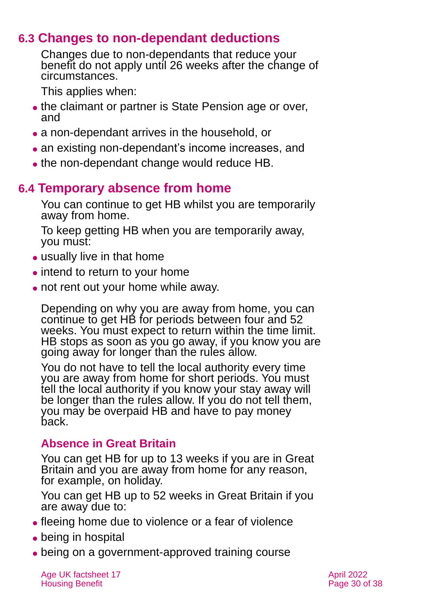# **6.3 Changes to non-dependant deductions**

Changes due to non-dependants that reduce your benefit do not apply until 26 weeks after the change of circumstances.

This applies when:

- the claimant or partner is State Pension age or over, and
- ⚫ a non-dependant arrives in the household, or
- an existing non-dependant's income increases, and
- the non-dependant change would reduce HB.

# **6.4 Temporary absence from home**

You can continue to get HB whilst you are temporarily away from home.

To keep getting HB when you are temporarily away, you must:

- usually live in that home
- intend to return to your home
- not rent out your home while away.

Depending on why you are away from home, you can continue to get HB for periods between four and 52 weeks. You must expect to return within the time limit. HB stops as soon as you go away, if you know you are going away for longer than the rules allow.

You do not have to tell the local authority every time you are away from home for short periods. You must tell the local authority if you know your stay away will be longer than the rules allow. If you do not tell them, you may be overpaid HB and have to pay money back.

### **Absence in Great Britain**

You can get HB for up to 13 weeks if you are in Great Britain and you are away from home for any reason, for example, on holiday.

You can get HB up to 52 weeks in Great Britain if you are away due to:

- ⚫ fleeing home due to violence or a fear of violence
- ⚫ being in hospital
- being on a government-approved training course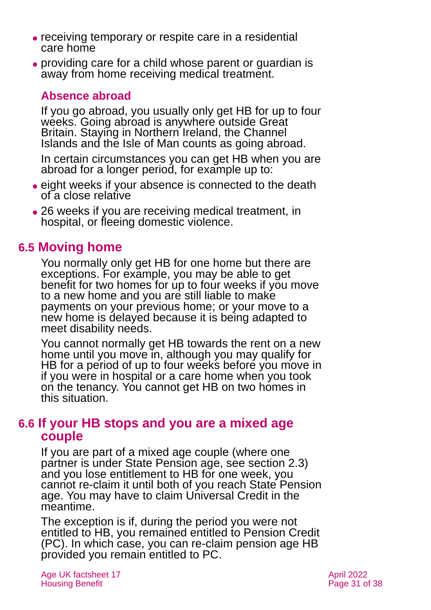- ⚫ receiving temporary or respite care in a residential care home
- ⚫ providing care for a child whose parent or guardian is away from home receiving medical treatment.

#### **Absence abroad**

If you go abroad, you usually only get HB for up to four weeks. Going abroad is anywhere outside Great Britain. Staying in Northern Ireland, the Channel Islands and the Isle of Man counts as going abroad.

In certain circumstances you can get HB when you are abroad for a longer period, for example up to:

- ⚫ eight weeks if your absence is connected to the death of a close relative
- 26 weeks if you are receiving medical treatment, in hospital, or fleeing domestic violence.

# **6.5 Moving home**

You normally only get HB for one home but there are exceptions. For example, you may be able to get benefit for two homes for up to four weeks if you move to a new home and you are still liable to make payments on your previous home; or your move to a new home is delayed because it is being adapted to meet disability needs.

You cannot normally get HB towards the rent on a new home until you move in, although you may qualify for HB for a period of up to four weeks before you move in if you were in hospital or a care home when you took on the tenancy. You cannot get HB on two homes in this situation.

### **6.6 If your HB stops and you are a mixed age couple**

If you are part of a mixed age couple (where one partner is under State Pension age, see [section 2.3\)](#page-4-0) and you lose entitlement to HB for one week, you cannot re-claim it until both of you reach State Pension age. You may have to claim Universal Credit in the meantime.

The exception is if, during the period you were not entitled to HB, you remained entitled to Pension Credit (PC). In which case, you can re-claim pension age HB provided you remain entitled to PC.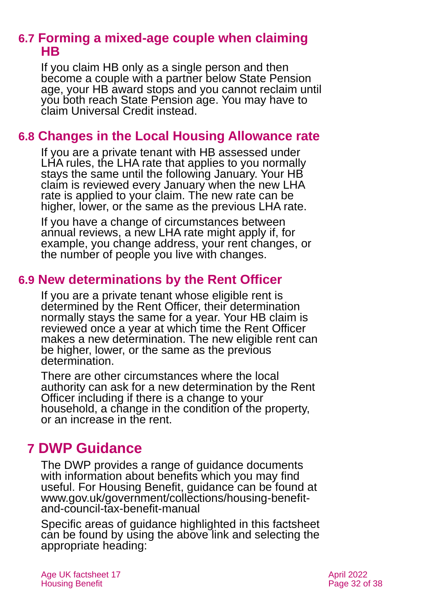# **6.7 Forming a mixed-age couple when claiming HB**

If you claim HB only as a single person and then become a couple with a partner below State Pension age, your HB award stops and you cannot reclaim until you both reach State Pension age. You may have to claim Universal Credit instead.

# **6.8 Changes in the Local Housing Allowance rate**

If you are a private tenant with HB assessed under LHA rules, the LHA rate that applies to you normally stays the same until the following January. Your HB claim is reviewed every January when the new LHA rate is applied to your claim. The new rate can be higher, lower, or the same as the previous LHA rate.

If you have a change of circumstances between annual reviews, a new LHA rate might apply if, for example, you change address, your rent changes, or the number of people you live with changes.

### **6.9 New determinations by the Rent Officer**

If you are a private tenant whose eligible rent is determined by the Rent Officer, their determination normally stays the same for a year. Your HB claim is reviewed once a year at which time the Rent Officer makes a new determination. The new eligible rent can be higher, lower, or the same as the previous determination.

There are other circumstances where the local authority can ask for a new determination by the Rent Officer including if there is a change to your household, a change in the condition of the property, or an increase in the rent.

# <span id="page-31-0"></span>**7 DWP Guidance**

The DWP provides a range of guidance documents with information about benefits which you may find useful. For Housing Benefit, guidance can be found at [www.gov.uk/government/collections/housing-benefit](http://www.gov.uk/government/collections/housing-benefit-and-council-tax-benefit-manual)[and-council-tax-benefit-manual](http://www.gov.uk/government/collections/housing-benefit-and-council-tax-benefit-manual)

Specific areas of guidance highlighted in this factsheet can be found by using the above link and selecting the appropriate heading: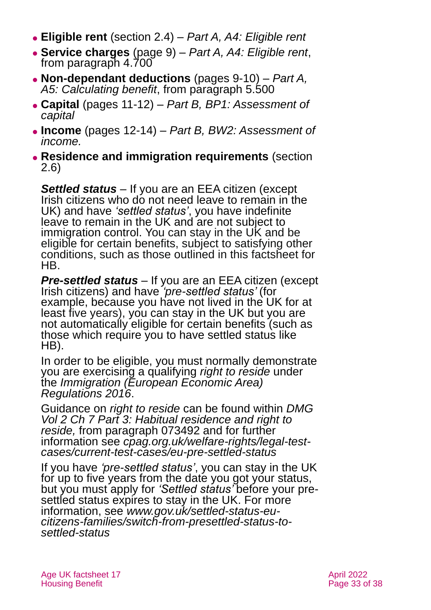- ⚫ **Eligible rent** [\(section 2.4\)](#page-5-0) *[Part A, A4: Eligible rent](https://assets.publishing.service.gov.uk/government/uploads/system/uploads/attachment_data/file/236953/hbgm-a4-eligible-rent.pdf)*
- ⚫ **Service charges** (page 9) *[Part A, A4: Eligible rent](https://assets.publishing.service.gov.uk/government/uploads/system/uploads/attachment_data/file/236953/hbgm-a4-eligible-rent.pdf)*, from paragraph 4.700
- ⚫ **Non-dependant deductions** (pages 9-10) *[Part A,](https://assets.publishing.service.gov.uk/government/uploads/system/uploads/attachment_data/file/236954/hbgm-a5-calculating-benefit.pdf)*  [A5: Calculating benefit](https://assets.publishing.service.gov.uk/government/uploads/system/uploads/attachment_data/file/236954/hbgm-a5-calculating-benefit.pdf), from paragraph 5.500
- ⚫ **Capital** (pages 11-12) *[Part B, BP1: Assessment of](https://assets.publishing.service.gov.uk/government/uploads/system/uploads/attachment_data/file/365783/hbgm-bp1-assessment-of-capital.pdf)  [capital](https://assets.publishing.service.gov.uk/government/uploads/system/uploads/attachment_data/file/365783/hbgm-bp1-assessment-of-capital.pdf)*
- ⚫ **Income** (pages 12-14) *[Part B, BW2: Assessment of](https://assets.publishing.service.gov.uk/government/uploads/system/uploads/attachment_data/file/236963/hbgm-bp2-assessment-of-income.pdf)  [income.](https://assets.publishing.service.gov.uk/government/uploads/system/uploads/attachment_data/file/236963/hbgm-bp2-assessment-of-income.pdf)*
- ⚫ **Residence and immigration requirements** [\(section](#page-6-2)  [2.6\)](#page-6-2)

*Settled status –* If you are an EEA citizen (except Irish citizens who do not need leave to remain in the UK) and have *'settled status'*, you have indefinite leave to remain in the UK and are not subject to immigration control. You can stay in the UK and be eligible for certain benefits, subject to satisfying other conditions, such as those outlined in this factsheet for HB.

*Pre-settled status –* If you are an EEA citizen (except Irish citizens) and have *'pre-settled status'* (for example, because you have not lived in the UK for at least five years), you can stay in the UK but you are not automatically eligible for certain benefits (such as those which require you to have settled status like HB).

In order to be eligible, you must normally demonstrate you are exercising a qualifying *right to reside* under the *[Immigration \(European Economic Area\)](https://www.legislation.gov.uk/uksi/2016/1052/made)  [Regulations 2016](https://www.legislation.gov.uk/uksi/2016/1052/made)*.

Guidance on *right to reside* can be found within *[DMG](https://assets.publishing.service.gov.uk/government/uploads/system/uploads/attachment_data/file/949265/dmg-chapter-07-part-03-habitual-residence-and-right-to-reside-is-jsa-spc-esa-072770-073779.pdf)  [Vol 2 Ch 7 Part 3: Habitual residence and right to](https://assets.publishing.service.gov.uk/government/uploads/system/uploads/attachment_data/file/949265/dmg-chapter-07-part-03-habitual-residence-and-right-to-reside-is-jsa-spc-esa-072770-073779.pdf)  [reside,](https://assets.publishing.service.gov.uk/government/uploads/system/uploads/attachment_data/file/949265/dmg-chapter-07-part-03-habitual-residence-and-right-to-reside-is-jsa-spc-esa-072770-073779.pdf)* from paragraph 073492 and for further information see *[cpag.org.uk/welfare-rights/legal-test](https://cpag.org.uk/welfare-rights/legal-test-cases/current-test-cases/eu-pre-settled-status)[cases/current-test-cases/eu-pre-settled-status](https://cpag.org.uk/welfare-rights/legal-test-cases/current-test-cases/eu-pre-settled-status)*

If you have *'pre-settled status'*, you can stay in the UK for up to five years from the date you got your status, but you must apply for *'Settled status'* before your presettled status expires to stay in the UK. For more information, see *[www.gov.uk/settled-status-eu](http://www.gov.uk/settled-status-eu-citizens-families/switch-from-presettled-status-to-settled-status)[citizens-families/switch-from-presettled-status-to](http://www.gov.uk/settled-status-eu-citizens-families/switch-from-presettled-status-to-settled-status)[settled-status](http://www.gov.uk/settled-status-eu-citizens-families/switch-from-presettled-status-to-settled-status)*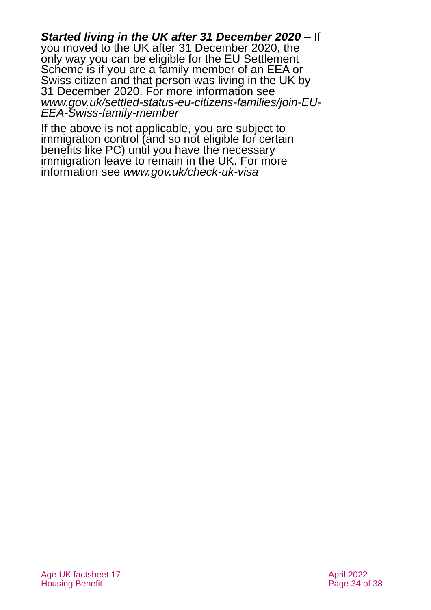*Started living in the UK after 31 December 2020 –* If you moved to the UK after 31 December 2020, the only way you can be eligible for the EU Settlement Scheme is if you are a family member of an EEA or Swiss citizen and that person was living in the UK by 31 December 2020. For more information see *[www.gov.uk/settled-status-eu-citizens-families/join-EU-](http://www.gov.uk/settled-status-eu-citizens-families/join-EU-EEA-Swiss-family-member)[EEA-Swiss-family-member](http://www.gov.uk/settled-status-eu-citizens-families/join-EU-EEA-Swiss-family-member)*

If the above is not applicable, you are subject to immigration control (and so not eligible for certain benefits like PC) until you have the necessary immigration leave to remain in the UK. For more information see *[www.gov.uk/check-uk-visa](http://www.gov.uk/check-uk-visa)*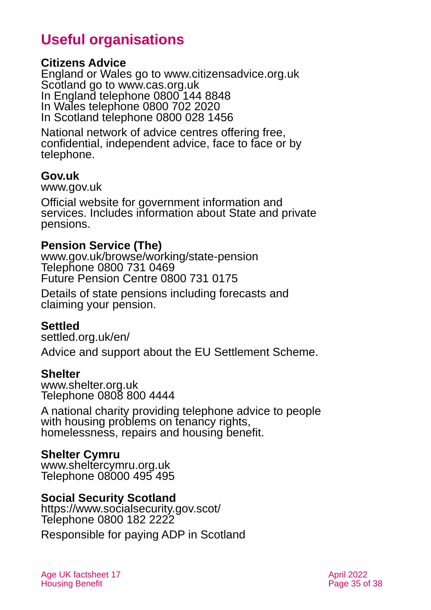# **Useful organisations**

#### <span id="page-34-0"></span>**Citizens Advice**

England or Wales go to [www.citizensadvice.org.uk](http://www.citizensadvice.org.uk/) Scotland go to [www.cas.org.uk](http://www.cas.org.uk/) In England telephone 0800 144 8848 In Wales telephone 0800 702 2020 In Scotland telephone 0800 028 1456

National network of advice centres offering free, confidential, independent advice, face to face or by telephone.

#### **Gov.uk**

[www.gov.uk](http://www.gov.uk/)

Official website for government information and services. Includes information about State and private pensions.

#### **Pension Service (The)**

[www.gov.uk/browse/working/state-pension](http://www.gov.uk/browse/working/state-pension) Telephone 0800 731 0469 Future Pension Centre 0800 731 0175

Details of state pensions including forecasts and claiming your pension.

#### **Settled**

[settled.org.uk/en/](https://settled.org.uk/en/)

Advice and support about the EU Settlement Scheme.

#### **Shelter**

[www.shelter.org.uk](http://www.shelter.org.uk/) Telephone 0808 800 4444

A national charity providing telephone advice to people with housing problems on tenancy rights, homelessness, repairs and housing benefit.

### **Shelter Cymru**

[www.sheltercymru.org.uk](http://www.sheltercymru.org.uk/) Telephone 08000 495 495

#### **Social Security Scotland**

<https://www.socialsecurity.gov.scot/> Telephone 0800 182 2222

Responsible for paying ADP in Scotland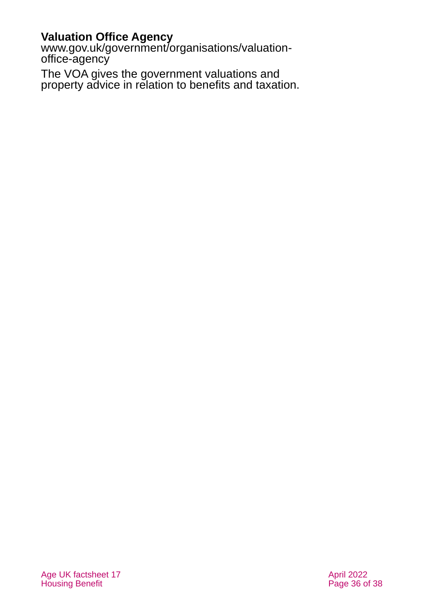#### **Valuation Office Agency**

[www.gov.uk/government/organisations/valuation](http://www.gov.uk/government/organisations/valuation-office-agency)[office-agency](http://www.gov.uk/government/organisations/valuation-office-agency)

The VOA gives the government valuations and property advice in relation to benefits and taxation.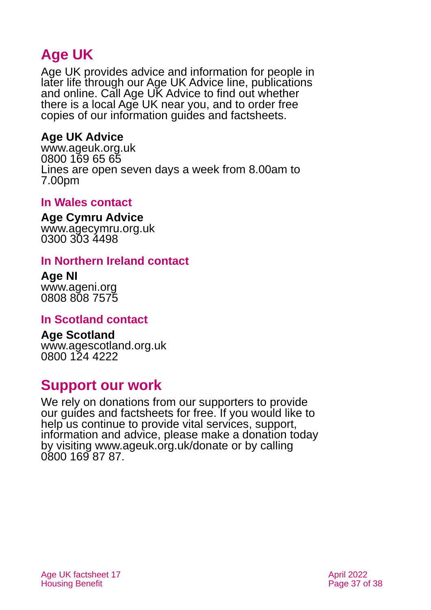# **Age UK**

Age UK provides advice and information for people in later life through our Age UK Advice line, publications and online. Call Age UK Advice to find out whether there is a local Age UK near you, and to order free copies of our information guides and factsheets.

#### <span id="page-36-1"></span>**Age UK Advice**

[www.ageuk.org.uk](http://www.ageuk.org.uk/) 0800 169 65 65 Lines are open seven days a week from 8.00am to 7.00pm

#### <span id="page-36-3"></span>**In Wales contact**

**Age Cymru Advice** [www.agecymru.org.uk](http://www.agecymru.org.uk/) 0300 303 4498

#### <span id="page-36-0"></span>**In Northern Ireland contact**

**Age NI** [www.ageni.org](http://www.ageni.org/) 0808 808 7575

#### <span id="page-36-4"></span>**In Scotland contact**

<span id="page-36-2"></span>**Age Scotland** [www.agescotland.org.uk](http://www.agescotland.org.uk/) 0800 124 4222

# **Support our work**

We rely on donations from our supporters to provide our guides and factsheets for free. If you would like to help us continue to provide vital services, support, information and advice, please make a donation today by visiting [www.ageuk.org.uk/donate](http://www.ageuk.org.uk/donate) or by calling 0800 169 87 87.